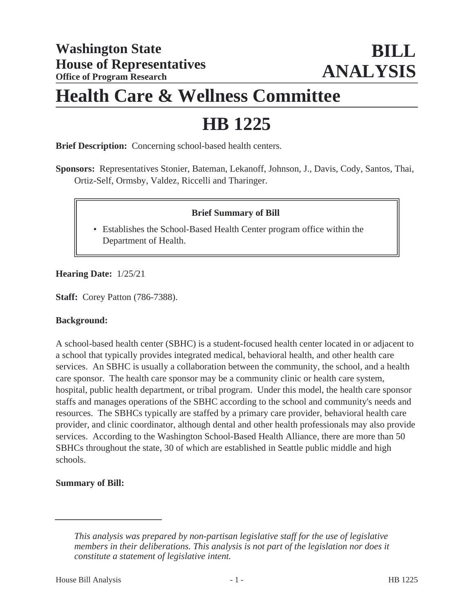# **Health Care & Wellness Committee**

# **HB 1225**

**Brief Description:** Concerning school-based health centers.

**Sponsors:** Representatives Stonier, Bateman, Lekanoff, Johnson, J., Davis, Cody, Santos, Thai, Ortiz-Self, Ormsby, Valdez, Riccelli and Tharinger.

### **Brief Summary of Bill**

• Establishes the School-Based Health Center program office within the Department of Health.

#### **Hearing Date:** 1/25/21

**Staff:** Corey Patton (786-7388).

#### **Background:**

A school-based health center (SBHC) is a student-focused health center located in or adjacent to a school that typically provides integrated medical, behavioral health, and other health care services. An SBHC is usually a collaboration between the community, the school, and a health care sponsor. The health care sponsor may be a community clinic or health care system, hospital, public health department, or tribal program. Under this model, the health care sponsor staffs and manages operations of the SBHC according to the school and community's needs and resources. The SBHCs typically are staffed by a primary care provider, behavioral health care provider, and clinic coordinator, although dental and other health professionals may also provide services. According to the Washington School-Based Health Alliance, there are more than 50 SBHCs throughout the state, 30 of which are established in Seattle public middle and high schools.

#### **Summary of Bill:**

*This analysis was prepared by non-partisan legislative staff for the use of legislative members in their deliberations. This analysis is not part of the legislation nor does it constitute a statement of legislative intent.*